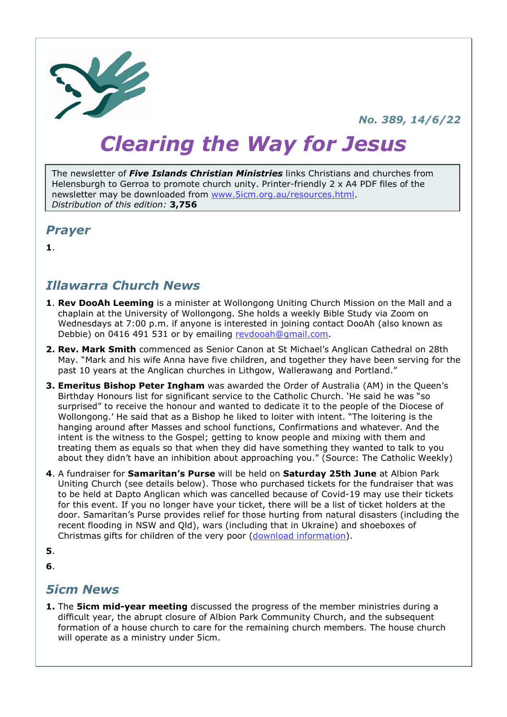

#### No. 389, 14/6/22

# Clearing the Way for Jesus

The newsletter of *Five Islands Christian Ministries* links Christians and churches from Helensburgh to Gerroa to promote church unity. Printer-friendly 2 x A4 PDF files of the newsletter may be downloaded from www.5icm.org.au/resources.html. Distribution of this edition: **3.756** 

#### Prayer

1.

### Illawarra Church News

- 1. Rev DooAh Leeming is a minister at Wollongong Uniting Church Mission on the Mall and a chaplain at the University of Wollongong. She holds a weekly Bible Study via Zoom on Wednesdays at 7:00 p.m. if anyone is interested in joining contact DooAh (also known as Debbie) on 0416 491 531 or by emailing revdooah@gmail.com.
- 2. Rev. Mark Smith commenced as Senior Canon at St Michael's Anglican Cathedral on 28th May. "Mark and his wife Anna have five children, and together they have been serving for the past 10 years at the Anglican churches in Lithgow, Wallerawang and Portland."
- 3. Emeritus Bishop Peter Ingham was awarded the Order of Australia (AM) in the Queen's Birthday Honours list for significant service to the Catholic Church. 'He said he was "so surprised" to receive the honour and wanted to dedicate it to the people of the Diocese of Wollongong.' He said that as a Bishop he liked to loiter with intent. "The loitering is the hanging around after Masses and school functions, Confirmations and whatever. And the intent is the witness to the Gospel; getting to know people and mixing with them and treating them as equals so that when they did have something they wanted to talk to you about they didn't have an inhibition about approaching you." (Source: The Catholic Weekly)
- 4. A fundraiser for Samaritan's Purse will be held on Saturday 25th June at Albion Park Uniting Church (see details below). Those who purchased tickets for the fundraiser that was to be held at Dapto Anglican which was cancelled because of Covid-19 may use their tickets for this event. If you no longer have your ticket, there will be a list of ticket holders at the door. Samaritan's Purse provides relief for those hurting from natural disasters (including the recent flooding in NSW and Qld), wars (including that in Ukraine) and shoeboxes of Christmas gifts for children of the very poor (download information).

5.

6.

#### 5icm News

**1.** The **5icm mid-vear meeting** discussed the progress of the member ministries during a difficult year, the abrupt closure of Albion Park Community Church, and the subsequent formation of a house church to care for the remaining church members. The house church will operate as a ministry under 5icm.